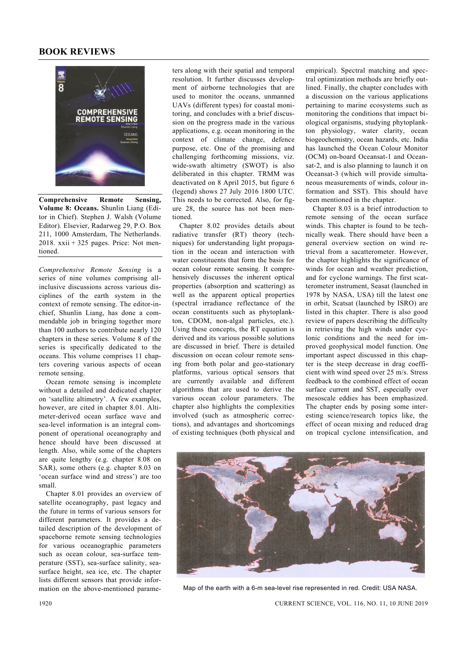## **BOOK REVIEWS**



**Comprehensive Remote Sensing, Volume 8: Oceans.** Shunlin Liang (Editor in Chief). Stephen J. Walsh (Volume Editor). Elsevier, Radarweg 29, P.O. Box 211, 1000 Amsterdam, The Netherlands. 2018. xxii + 325 pages. Price: Not mentioned.

*Comprehensive Remote Sensing* is a series of nine volumes comprising allinclusive discussions across various disciplines of the earth system in the context of remote sensing. The editor-inchief, Shunlin Liang, has done a commendable job in bringing together more than 100 authors to contribute nearly 120 chapters in these series. Volume 8 of the series is specifically dedicated to the oceans. This volume comprises 11 chapters covering various aspects of ocean remote sensing.

 Ocean remote sensing is incomplete without a detailed and dedicated chapter on 'satellite altimetry'. A few examples, however, are cited in chapter 8.01. Altimeter-derived ocean surface wave and sea-level information is an integral component of operational oceanography and hence should have been discussed at length. Also, while some of the chapters are quite lengthy (e.g. chapter 8.08 on SAR), some others (e.g. chapter 8.03 on 'ocean surface wind and stress') are too small.

 Chapter 8.01 provides an overview of satellite oceanography, past legacy and the future in terms of various sensors for different parameters. It provides a detailed description of the development of spaceborne remote sensing technologies for various oceanographic parameters such as ocean colour, sea-surface temperature (SST), sea-surface salinity, seasurface height, sea ice, etc. The chapter lists different sensors that provide information on the above-mentioned parameters along with their spatial and temporal resolution. It further discusses development of airborne technologies that are used to monitor the oceans, unmanned UAVs (different types) for coastal monitoring, and concludes with a brief discussion on the progress made in the various applications, e.g. ocean monitoring in the context of climate change, defence purpose, etc. One of the promising and challenging forthcoming missions, viz. wide-swath altimetry (SWOT) is also deliberated in this chapter. TRMM was deactivated on 8 April 2015, but figure 6 (legend) shows 27 July 2016 1800 UTC. This needs to be corrected. Also, for figure 28, the source has not been mentioned.

 Chapter 8.02 provides details about radiative transfer (RT) theory (techniques) for understanding light propagation in the ocean and interaction with water constituents that form the basis for ocean colour remote sensing. It comprehensively discusses the inherent optical properties (absorption and scattering) as well as the apparent optical properties (spectral irradiance reflectance of the ocean constituents such as phytoplankton, CDOM, non-algal particles, etc.). Using these concepts, the RT equation is derived and its various possible solutions are discussed in brief. There is detailed discussion on ocean colour remote sensing from both polar and geo-stationary platforms, various optical sensors that are currently available and different algorithms that are used to derive the various ocean colour parameters. The chapter also highlights the complexities involved (such as atmospheric corrections), and advantages and shortcomings of existing techniques (both physical and empirical). Spectral matching and spectral optimization methods are briefly outlined. Finally, the chapter concludes with a discussion on the various applications pertaining to marine ecosystems such as monitoring the conditions that impact biological organisms, studying phytoplankton physiology, water clarity, ocean biogeochemistry, ocean hazards, etc. India has launched the Ocean Colour Monitor (OCM) on-board Oceansat-1 and Oceansat-2, and is also planning to launch it on Oceansat-3 (which will provide simultaneous measurements of winds, colour information and SST). This should have been mentioned in the chapter.

 Chapter 8.03 is a brief introduction to remote sensing of the ocean surface winds. This chapter is found to be technically weak. There should have been a general overview section on wind retrieval from a sacatterometer. However, the chapter highlights the significance of winds for ocean and weather prediction, and for cyclone warnings. The first scatterometer instrument, Seasat (launched in 1978 by NASA, USA) till the latest one in orbit, Scatsat (launched by ISRO) are listed in this chapter. There is also good review of papers describing the difficulty in retrieving the high winds under cyclonic conditions and the need for improved geophysical model function. One important aspect discussed in this chapter is the steep decrease in drag coefficient with wind speed over 25 m/s. Stress feedback to the combined effect of ocean surface current and SST, especially over mesoscale eddies has been emphasized. The chapter ends by posing some interesting science/research topics like, the effect of ocean mixing and reduced drag on tropical cyclone intensification, and



Map of the earth with a 6-m sea-level rise represented in red. Credit: USA NASA.